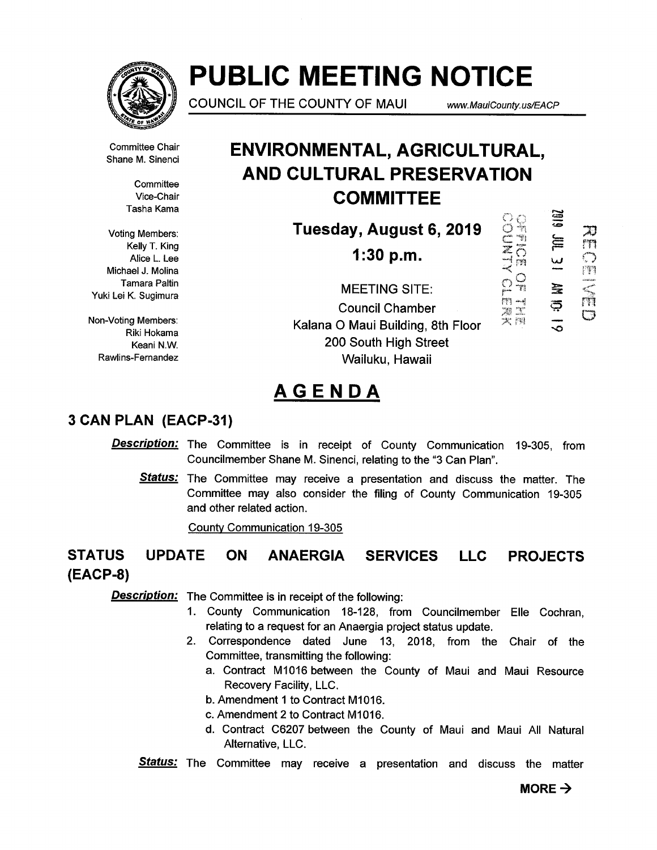

# PUBLIC MEETING NOTICE

COUNCIL OF THE COUNTY OF MAUI www.MauiCounty.us/EACP

**NOTERIAL** 

**DODE** Smartin

 $\mu$ 

写け

 $\equiv$ 

SID<sub>2</sub>

 $\frac{C}{C}$ 

 $\frac{1}{11}$ 

Committee Chair Shane M. Sinenci

> **Committee** Vice-Chair Tasha Kama

Voting Members: Kelly T. King Alice L. Lee Michael J. Molina Tamara Paltin Yuki Lei K. Sugimura

Non-Voting Members: Riki Hokama Keani N.W. Rawiins-Fernandez

## ENVIRONMENTAL, AGRICULTURAL, AND CULTURAL PRESERVATION **COMMITTEE**

Tuesday, August 6, 2019

1:30 p.m.

MEETING SITE: Council Chamber <sup>1</sup> Kalana O Maui Building, 8th Floor 200 South High Street Wailuku, Hawaii

# AGENDA

### 3 CAN PLAN (EACP-31)

- Description: The Committee is in receipt of County Communication 19-305, from Councilmember Shane M. Sinenci, relating to the "3 Can Plan".
	- Status: The Committee may receive a presentation and discuss the matter. The Committee may also consider the filing of County Communication 19-305 and other related action.

County Communication 19-305

### STATUS UPDATE ON ANAERGIA SERVICES LLC PROJECTS (EACP-8)

Description: The Committee is in receipt of the following:

- 1. County Communication 18-128, from Councilmember Elle Cochran, relating to a request for an Anaergia project status update.
- 2. Correspondence dated June 13, 2018, from the Chair of the Committee, transmitting the following:
	- a. Contract M1016 between the County of Maui and Maui Resource Recovery Facility, LLC.
	- b. Amendment 1 to Contract M1016.
	- c. Amendment 2 to Contract M1016.
	- d. Contract C6207 between the County of Maui and Maui All Natural Alternative, LLC.
- Status: The Committee may receive a presentation and discuss the matter